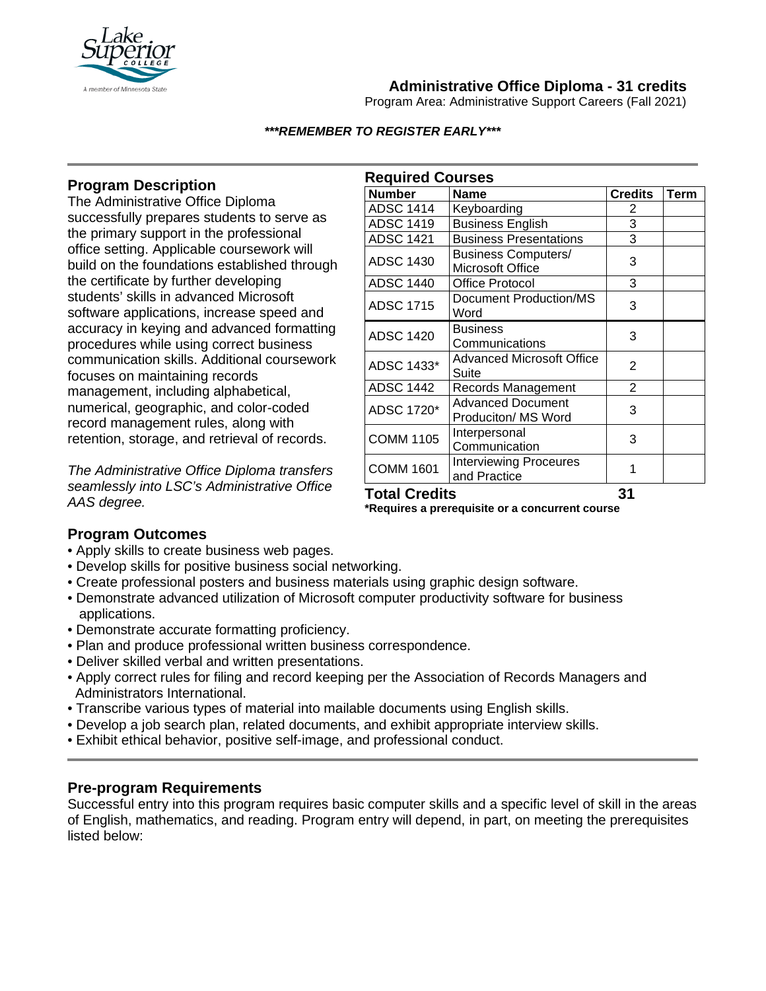

# **Administrative Office Diploma - 31 credits**

Program Area: Administrative Support Careers (Fall 2021)

#### *\*\*\*REMEMBER TO REGISTER EARLY\*\*\**

# **Program Description**

The Administrative Office Diploma successfully prepares students to serve as the primary support in the professional office setting. Applicable coursework will build on the foundations established through the certificate by further developing students' skills in advanced Microsoft software applications, increase speed and accuracy in keying and advanced formatting procedures while using correct business communication skills. Additional coursework focuses on maintaining records management, including alphabetical, numerical, geographic, and color-coded record management rules, along with retention, storage, and retrieval of records.

*The Administrative Office Diploma transfers seamlessly into LSC's Administrative Office AAS degree.* 

| <b>Required Courses</b> |                                                 |                |             |
|-------------------------|-------------------------------------------------|----------------|-------------|
| <b>Number</b>           | <b>Name</b>                                     | <b>Credits</b> | <b>Term</b> |
| <b>ADSC 1414</b>        | Keyboarding                                     | 2              |             |
| <b>ADSC 1419</b>        | <b>Business English</b>                         | 3              |             |
| <b>ADSC 1421</b>        | <b>Business Presentations</b>                   | 3              |             |
| <b>ADSC 1430</b>        | <b>Business Computers/</b><br>Microsoft Office  | 3              |             |
| <b>ADSC 1440</b>        | Office Protocol                                 | 3              |             |
| <b>ADSC 1715</b>        | <b>Document Production/MS</b><br>Word           | 3              |             |
| <b>ADSC 1420</b>        | <b>Business</b><br>Communications               | 3              |             |
| ADSC 1433*              | Advanced Microsoft Office<br>Suite              | 2              |             |
| <b>ADSC 1442</b>        | Records Management                              | $\overline{2}$ |             |
| ADSC 1720*              | <b>Advanced Document</b><br>Produciton/ MS Word | 3              |             |
| <b>COMM 1105</b>        | Interpersonal<br>Communication                  | 3              |             |
| <b>COMM 1601</b>        | <b>Interviewing Proceures</b><br>and Practice   | 1              |             |
| Total Credits           |                                                 | 31             |             |

**\*Requires a prerequisite or a concurrent course**

## **Program Outcomes**

- Apply skills to create business web pages.
- Develop skills for positive business social networking.
- Create professional posters and business materials using graphic design software.
- Demonstrate advanced utilization of Microsoft computer productivity software for business applications.
- Demonstrate accurate formatting proficiency.
- Plan and produce professional written business correspondence.
- Deliver skilled verbal and written presentations.
- Apply correct rules for filing and record keeping per the Association of Records Managers and Administrators International.
- Transcribe various types of material into mailable documents using English skills.
- Develop a job search plan, related documents, and exhibit appropriate interview skills.
- Exhibit ethical behavior, positive self-image, and professional conduct.

## **Pre-program Requirements**

Successful entry into this program requires basic computer skills and a specific level of skill in the areas of English, mathematics, and reading. Program entry will depend, in part, on meeting the prerequisites listed below: